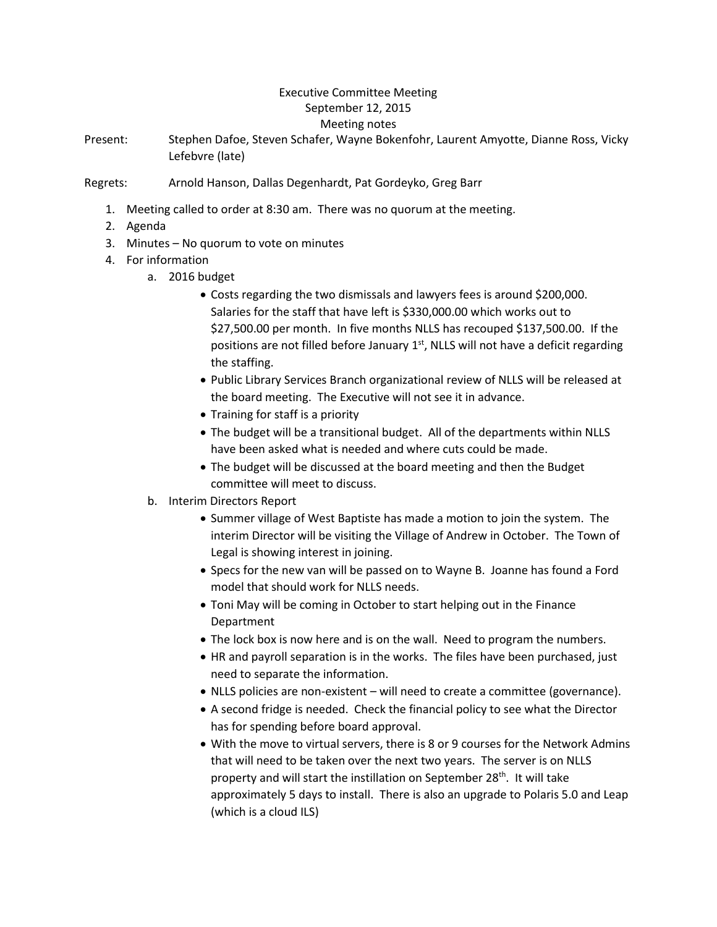## Executive Committee Meeting September 12, 2015 Meeting notes

Present: Stephen Dafoe, Steven Schafer, Wayne Bokenfohr, Laurent Amyotte, Dianne Ross, Vicky Lefebvre (late)

## Regrets: Arnold Hanson, Dallas Degenhardt, Pat Gordeyko, Greg Barr

- 1. Meeting called to order at 8:30 am. There was no quorum at the meeting.
- 2. Agenda
- 3. Minutes No quorum to vote on minutes
- 4. For information
	- a. 2016 budget
		- Costs regarding the two dismissals and lawyers fees is around \$200,000. Salaries for the staff that have left is \$330,000.00 which works out to \$27,500.00 per month. In five months NLLS has recouped \$137,500.00. If the positions are not filled before January  $1<sup>st</sup>$ , NLLS will not have a deficit regarding the staffing.
		- Public Library Services Branch organizational review of NLLS will be released at the board meeting. The Executive will not see it in advance.
		- Training for staff is a priority
		- The budget will be a transitional budget. All of the departments within NLLS have been asked what is needed and where cuts could be made.
		- The budget will be discussed at the board meeting and then the Budget committee will meet to discuss.
	- b. Interim Directors Report
		- Summer village of West Baptiste has made a motion to join the system. The interim Director will be visiting the Village of Andrew in October. The Town of Legal is showing interest in joining.
		- Specs for the new van will be passed on to Wayne B. Joanne has found a Ford model that should work for NLLS needs.
		- Toni May will be coming in October to start helping out in the Finance Department
		- The lock box is now here and is on the wall. Need to program the numbers.
		- HR and payroll separation is in the works. The files have been purchased, just need to separate the information.
		- NLLS policies are non-existent will need to create a committee (governance).
		- A second fridge is needed. Check the financial policy to see what the Director has for spending before board approval.
		- With the move to virtual servers, there is 8 or 9 courses for the Network Admins that will need to be taken over the next two years. The server is on NLLS property and will start the instillation on September 28<sup>th</sup>. It will take approximately 5 days to install. There is also an upgrade to Polaris 5.0 and Leap (which is a cloud ILS)